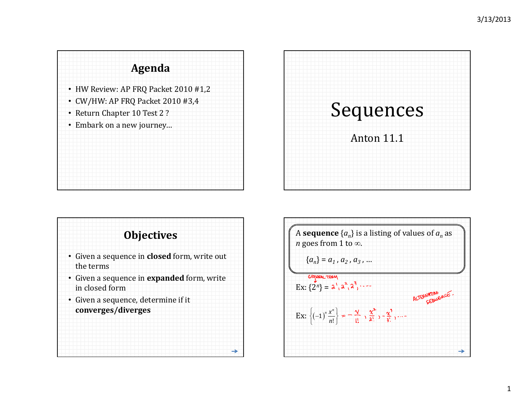





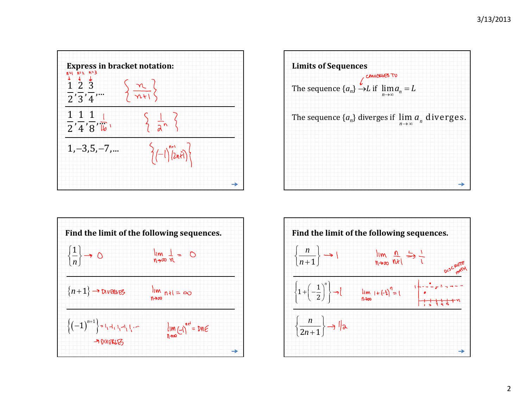





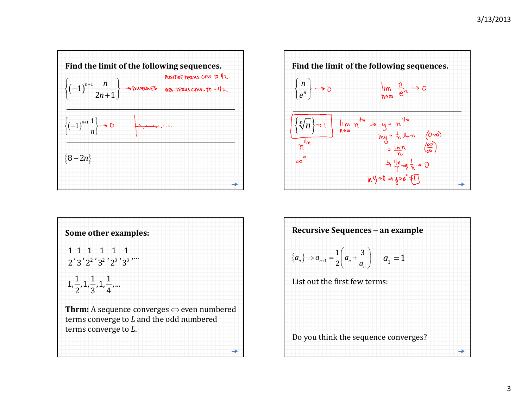





| <b>Recursive Sequences - an example</b>                                                |  |
|----------------------------------------------------------------------------------------|--|
| ${a_n} \Rightarrow a_{n+1} = \frac{1}{2} \left( a_n + \frac{3}{a_n} \right)$ $a_1 = 1$ |  |
| List out the first few terms:                                                          |  |
|                                                                                        |  |
| Do you think the sequence converges?                                                   |  |